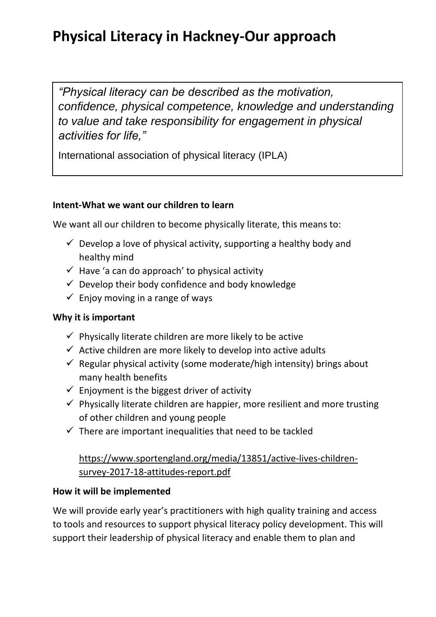## **Physical Literacy in Hackney-Our approach**

*"Physical literacy can be described as the motivation, confidence, physical competence, knowledge and understanding to value and take responsibility for engagement in physical activities for life,"*

International association of physical literacy (IPLA)

### **Intent-What we want our children to learn**

We want all our children to become physically literate, this means to:

- $\checkmark$  Develop a love of physical activity, supporting a healthy body and healthy mind
- $\checkmark$  Have 'a can do approach' to physical activity
- $\checkmark$  Develop their body confidence and body knowledge
- $\checkmark$  Enjoy moving in a range of ways

### **Why it is important**

- $\checkmark$  Physically literate children are more likely to be active
- $\checkmark$  Active children are more likely to develop into active adults
- $\checkmark$  Regular physical activity (some moderate/high intensity) brings about many health benefits
- $\checkmark$  Enjoyment is the biggest driver of activity
- $\checkmark$  Physically literate children are happier, more resilient and more trusting of other children and young people
- $\checkmark$  There are important inequalities that need to be tackled

## [https://www.sportengland.org/media/13851/active-lives-children](https://www.sportengland.org/media/13851/active-lives-children-survey-2017-18-attitudes-report.pdf)[survey-2017-18-attitudes-report.pdf](https://www.sportengland.org/media/13851/active-lives-children-survey-2017-18-attitudes-report.pdf)

### **How it will be implemented**

We will provide early year's practitioners with high quality training and access to tools and resources to support physical literacy policy development. This will support their leadership of physical literacy and enable them to plan and